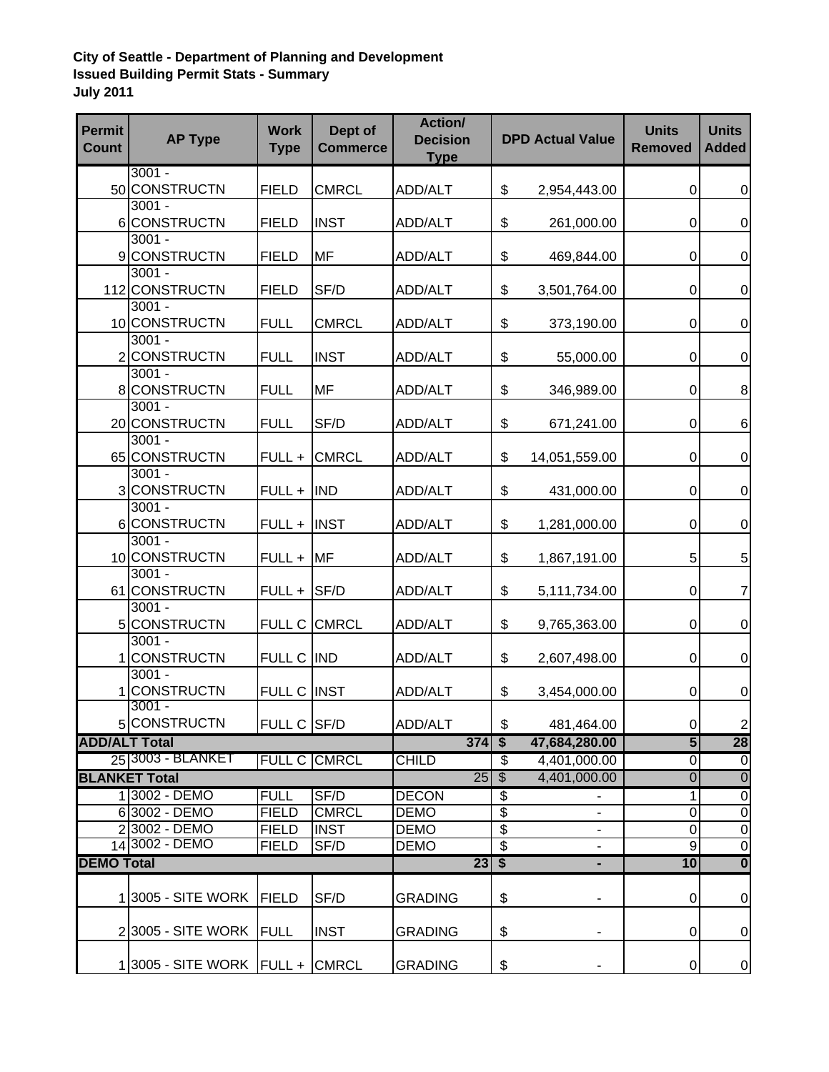## **City of Seattle - Department of Planning and Development Issued Building Permit Stats - Summary July 2011**

| <b>Permit</b><br><b>Count</b> | <b>AP Type</b>                   | <b>Work</b><br><b>Type</b> | Dept of<br><b>Commerce</b> | Action/<br><b>Decision</b><br><b>Type</b> |                           | <b>DPD Actual Value</b> | <b>Units</b><br><b>Removed</b> | <b>Units</b><br><b>Added</b> |
|-------------------------------|----------------------------------|----------------------------|----------------------------|-------------------------------------------|---------------------------|-------------------------|--------------------------------|------------------------------|
|                               | $3001 -$                         |                            |                            |                                           |                           |                         |                                |                              |
|                               | 50 CONSTRUCTN<br>$3001 -$        | <b>FIELD</b>               | <b>CMRCL</b>               | ADD/ALT                                   | \$                        | 2,954,443.00            | 0                              | $\overline{0}$               |
|                               | 6 CONSTRUCTN                     | <b>FIELD</b>               | <b>INST</b>                | ADD/ALT                                   | \$                        | 261,000.00              | 0                              | $\mathbf 0$                  |
|                               | $3001 -$                         |                            |                            |                                           |                           |                         |                                |                              |
|                               | 9 CONSTRUCTN                     | <b>FIELD</b>               | MF                         | <b>ADD/ALT</b>                            | \$                        | 469,844.00              | 0                              | $\mathbf 0$                  |
|                               | $3001 -$<br>112 CONSTRUCTN       | <b>FIELD</b>               | SF/D                       | ADD/ALT                                   | \$                        | 3,501,764.00            | 0                              | $\boldsymbol{0}$             |
|                               | $3001 -$<br>10 CONSTRUCTN        | <b>FULL</b>                | <b>CMRCL</b>               | ADD/ALT                                   | \$                        | 373,190.00              | 0                              | $\mathbf 0$                  |
|                               | $3001 -$<br>2 CONSTRUCTN         | <b>FULL</b>                | <b>INST</b>                | ADD/ALT                                   | \$                        | 55,000.00               | 0                              | $\mathbf 0$                  |
|                               | $3001 -$<br>8 CONSTRUCTN         | <b>FULL</b>                | <b>MF</b>                  | ADD/ALT                                   | \$                        | 346,989.00              | 0                              | 8                            |
|                               | $3001 -$<br>20 CONSTRUCTN        | <b>FULL</b>                | SF/D                       | ADD/ALT                                   | \$                        | 671,241.00              | 0                              | $6\phantom{1}6$              |
|                               | $3001 -$                         |                            |                            |                                           |                           |                         |                                |                              |
|                               | 65 CONSTRUCTN<br>$3001 -$        | FULL +                     | <b>CMRCL</b>               | ADD/ALT                                   | \$                        | 14,051,559.00           | 0                              | $\mathbf 0$                  |
|                               | 3 CONSTRUCTN                     | $FULL +  $                 | <b>IND</b>                 | ADD/ALT                                   | \$                        | 431,000.00              | 0                              | $\overline{0}$               |
|                               | $3001 -$<br>6 CONSTRUCTN         | $FULL +  $                 | <b>INST</b>                | ADD/ALT                                   | \$                        | 1,281,000.00            | 0                              | $\mathbf 0$                  |
|                               | $3001 -$                         |                            |                            |                                           |                           |                         |                                |                              |
|                               | 10 CONSTRUCTN<br>$3001 -$        | $FULL + M F$               |                            | <b>ADD/ALT</b>                            | \$                        | 1,867,191.00            | 5                              | 5                            |
|                               | 61 CONSTRUCTN                    | FULL +                     | SF/D                       | <b>ADD/ALT</b>                            | \$                        | 5,111,734.00            | 0                              | $\overline{7}$               |
|                               | $3001 -$<br>5 CONSTRUCTN         | FULL C                     | <b>CMRCL</b>               | <b>ADD/ALT</b>                            | \$                        | 9,765,363.00            | 0                              | $\mathbf 0$                  |
|                               | $3001 -$<br>1 CONSTRUCTN         | FULL C IND                 |                            | <b>ADD/ALT</b>                            | \$                        | 2,607,498.00            | 0                              | $\mathbf 0$                  |
|                               | $3001 -$                         |                            |                            |                                           |                           |                         |                                |                              |
|                               | 1 CONSTRUCTN                     | FULL C INST                |                            | ADD/ALT                                   | \$                        | 3,454,000.00            | 0                              | $\mathbf 0$                  |
|                               | $3001 -$<br>5 CONSTRUCTN         | FULL C SF/D                |                            | ADD/ALT                                   | \$                        | 481,464.00              | οı                             | $\mathbf{2}$                 |
| <b>ADD/ALT Total</b>          |                                  |                            |                            | $374$                                     | $\overline{\mathbf{s}}$   | 47,684,280.00           | 5                              | 28                           |
|                               | 25 3003 - BLANKET                |                            | <b>FULL C CMRCL</b>        | <b>CHILD</b>                              | $\overline{\mathcal{S}}$  | 4,401,000.00            | $\overline{0}$                 | $\overline{\mathsf{o}}$      |
|                               | <b>BLANKET Total</b>             |                            |                            | 25                                        | $\overline{\$}$           | 4,401,000.00            | $\overline{0}$                 | $\overline{0}$               |
|                               | 1 3002 - DEMO                    | <b>FULL</b>                | SF/D                       | <b>DECON</b>                              | $\overline{\mathfrak{s}}$ |                         | $\overline{1}$                 | $\overline{0}$               |
|                               | 63002 - DEMO                     | <b>FIELD</b>               | <b>CMRCL</b>               | <b>DEMO</b>                               | \$                        |                         | $\mathsf{O}\xspace$            | $\boldsymbol{0}$             |
|                               | 23002 - DEMO                     | <b>FIELD</b>               | <b>INST</b>                | <b>DEMO</b>                               | $\overline{\$}$           |                         | $\overline{\mathsf{o}}$        | $\overline{0}$               |
|                               | 14 3002 - DEMO                   | <b>FIELD</b>               | SF/D                       | <b>DEMO</b>                               | $\overline{\$}$           | ۰                       | 9                              | $\overline{0}$               |
| <b>DEMO Total</b>             |                                  |                            |                            | $23 \mid $ \$                             |                           | ٠                       | 10                             | $\overline{\mathbf{0}}$      |
|                               | 1 3005 - SITE WORK               | FIELD                      | SF/D                       | <b>GRADING</b>                            | \$                        | ۰                       | 0                              | $\pmb{0}$                    |
|                               | 23005 - SITE WORK   FULL         |                            | <b>INST</b>                | <b>GRADING</b>                            | \$                        | ٠                       | 0                              | $\mathbf 0$                  |
|                               | 13005 - SITE WORK   FULL + CMRCL |                            |                            | <b>GRADING</b>                            | \$                        | ۳                       | 0                              | $\overline{0}$               |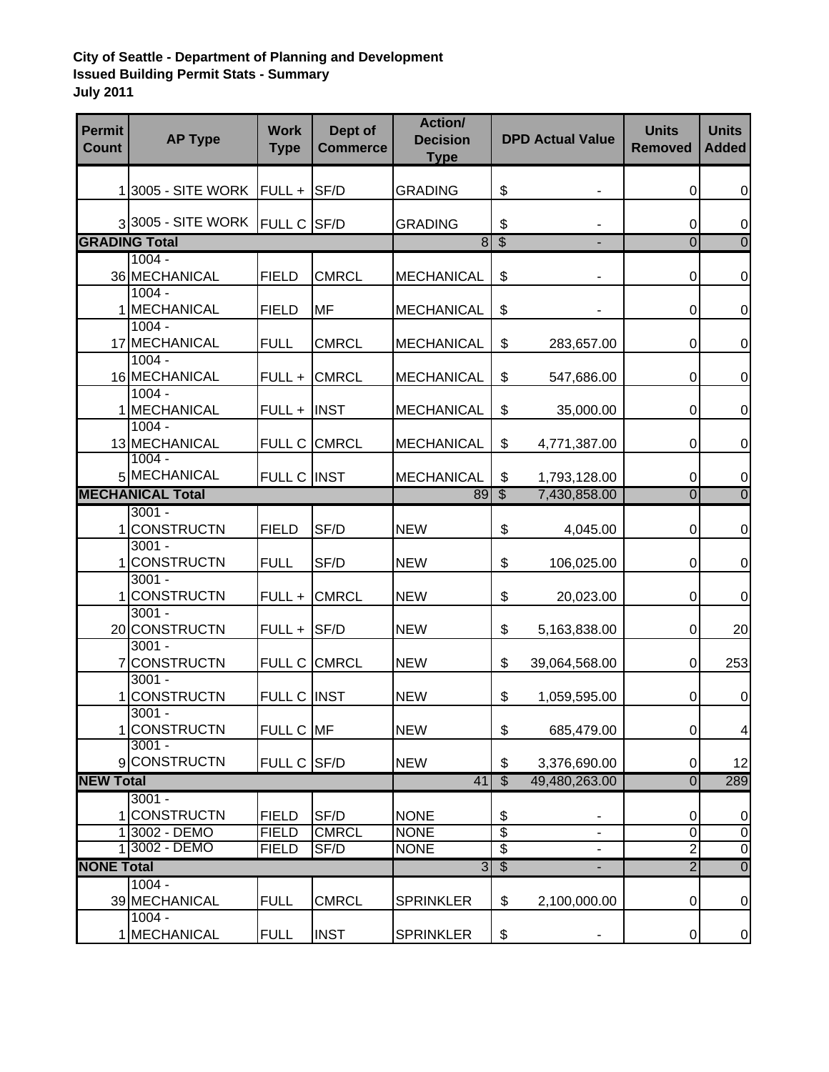## **City of Seattle - Department of Planning and Development Issued Building Permit Stats - Summary July 2011**

| <b>Permit</b><br><b>Count</b> | <b>AP Type</b>                 | <b>Work</b><br><b>Type</b>   | Dept of<br><b>Commerce</b> | <b>Action/</b><br><b>Decision</b><br><b>Type</b> |                       | <b>DPD Actual Value</b> | <b>Units</b><br><b>Removed</b> | <b>Units</b><br><b>Added</b>     |
|-------------------------------|--------------------------------|------------------------------|----------------------------|--------------------------------------------------|-----------------------|-------------------------|--------------------------------|----------------------------------|
|                               |                                |                              |                            |                                                  |                       |                         |                                |                                  |
|                               | $1 3005 - SITE WORK  FULL +$   |                              | <b>SF/D</b>                | <b>GRADING</b>                                   | \$                    |                         | 0                              | $\boldsymbol{0}$                 |
|                               | 33005 - SITE WORK FULL C SF/D  |                              |                            | <b>GRADING</b>                                   | \$                    |                         | 0                              | $\mathbf 0$                      |
| <b>GRADING Total</b>          |                                |                              | $\overline{8}$             | $\overline{\$}$                                  |                       | $\overline{0}$          | $\overline{0}$                 |                                  |
|                               | $1004 -$                       |                              |                            |                                                  |                       |                         |                                |                                  |
|                               | 36 MECHANICAL                  | <b>FIELD</b>                 | <b>CMRCL</b>               | <b>MECHANICAL</b>                                | \$                    |                         | 0                              | $\boldsymbol{0}$                 |
|                               | $1004 -$                       |                              |                            |                                                  |                       |                         |                                |                                  |
|                               | 1 MECHANICAL                   | <b>FIELD</b>                 | <b>MF</b>                  | <b>MECHANICAL</b>                                | \$                    |                         | 0                              | $\overline{0}$                   |
|                               | $1004 -$<br>17 MECHANICAL      |                              |                            |                                                  |                       |                         |                                |                                  |
|                               | $1004 -$                       | <b>FULL</b>                  | <b>CMRCL</b>               | <b>MECHANICAL</b>                                | \$                    | 283,657.00              | 0                              | $\mathbf 0$                      |
|                               | 16 MECHANICAL                  | FULL +                       | <b>CMRCL</b>               | <b>MECHANICAL</b>                                | \$                    | 547,686.00              | 0                              | $\mathbf 0$                      |
|                               | $1004 -$                       |                              |                            |                                                  |                       |                         |                                |                                  |
|                               | 1 MECHANICAL                   | FULL +                       | <b>INST</b>                | <b>MECHANICAL</b>                                | \$                    | 35,000.00               | 0                              | $\boldsymbol{0}$                 |
|                               | $1004 -$                       |                              |                            |                                                  |                       |                         |                                |                                  |
|                               | 13 MECHANICAL                  | FULL C CMRCL                 |                            | <b>MECHANICAL</b>                                | \$                    | 4,771,387.00            | 0                              | $\mathbf 0$                      |
|                               | $1004 -$                       |                              |                            |                                                  |                       |                         |                                |                                  |
|                               | 5 MECHANICAL                   | FULL C INST                  |                            | <b>MECHANICAL</b>                                | \$                    | 1,793,128.00            | 0                              | $\mathbf 0$                      |
| <b>MECHANICAL Total</b>       |                                |                              | <b>89</b>                  | $\overline{\$}$                                  | 7,430,858.00          | $\overline{0}$          | $\overline{0}$                 |                                  |
|                               | $3001 -$                       |                              |                            |                                                  |                       |                         |                                |                                  |
|                               | 1 CONSTRUCTN                   | <b>FIELD</b>                 | SF/D                       | <b>NEW</b>                                       | \$                    | 4,045.00                | 0                              | $\mathbf 0$                      |
|                               | $3001 -$                       |                              |                            |                                                  |                       |                         |                                |                                  |
|                               | 1 CONSTRUCTN                   | <b>FULL</b>                  | SF/D                       | <b>NEW</b>                                       | \$                    | 106,025.00              | 0                              | $\mathbf 0$                      |
|                               | $3001 -$                       |                              |                            |                                                  |                       |                         |                                |                                  |
|                               | 1 CONSTRUCTN<br>$3001 -$       | FULL +                       | <b>CMRCL</b>               | <b>NEW</b>                                       | \$                    | 20,023.00               | 0                              | $\mathbf 0$                      |
|                               | 20 CONSTRUCTN                  | FULL +                       | SF/D                       | <b>NEW</b>                                       | \$                    | 5,163,838.00            | 0                              | 20                               |
|                               | $3001 -$                       |                              |                            |                                                  |                       |                         |                                |                                  |
|                               | 7 CONSTRUCTN                   |                              | FULL C CMRCL               | <b>NEW</b>                                       | \$                    | 39,064,568.00           | 0                              | 253                              |
|                               | $3001 -$                       |                              |                            |                                                  |                       |                         |                                |                                  |
|                               | 1 CONSTRUCTN                   | <b>FULL C</b>                | <b>INST</b>                | <b>NEW</b>                                       | \$                    | 1,059,595.00            | 0                              | $\overline{0}$                   |
|                               | $3001 -$                       |                              |                            |                                                  |                       |                         |                                |                                  |
|                               | 1 CONSTRUCTN                   | FULL C MF                    |                            | <b>NEW</b>                                       | \$                    | 685,479.00              | 0                              | $\overline{\mathbf{4}}$          |
|                               | $3001 -$                       |                              |                            |                                                  |                       |                         |                                |                                  |
|                               | 9 CONSTRUCTN                   | FULL C SF/D                  |                            | <b>NEW</b>                                       | \$                    | 3,376,690.00            | 0                              | 12                               |
| <b>NEW Total</b>              |                                |                              | 41                         | $\overline{\mathbb{S}}$                          | 49,480,263.00         | $\overline{0}$          | 289                            |                                  |
|                               | $3001 -$                       |                              |                            |                                                  |                       |                         |                                |                                  |
|                               | 1 CONSTRUCTN                   | <b>FIELD</b>                 | SF/D<br><b>CMRCL</b>       | <b>NONE</b>                                      | \$<br>$\overline{\$}$ |                         | 0<br>$\overline{0}$            | $\mathbf 0$                      |
|                               | 1 3002 - DEMO<br>1 3002 - DEMO | <b>FIELD</b><br><b>FIELD</b> | SF/D                       | <b>NONE</b><br><b>NONE</b>                       | $\overline{\$}$       | $\blacksquare$          | $\overline{2}$                 | $\overline{0}$<br>$\overline{0}$ |
| <b>NONE Total</b>             |                                |                              |                            | $\overline{3}$                                   | $\overline{\$}$       |                         | $\overline{2}$                 | $\overline{0}$                   |
|                               | $1004 -$                       |                              |                            |                                                  |                       |                         |                                |                                  |
|                               | 39 MECHANICAL                  | <b>FULL</b>                  | <b>CMRCL</b>               | <b>SPRINKLER</b>                                 | \$                    | 2,100,000.00            | 0                              | $\pmb{0}$                        |
|                               | $1004 -$                       |                              |                            |                                                  |                       |                         |                                |                                  |
|                               | 1 MECHANICAL                   | <b>FULL</b>                  | <b>INST</b>                | <b>SPRINKLER</b>                                 | \$                    |                         | 0                              | $\overline{0}$                   |